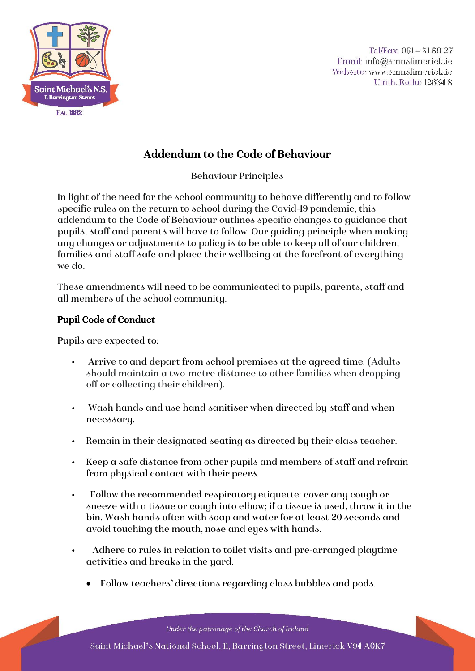

Tel/Fax: 061 - 31 59 27 Email: info@smnslimerick.ie Website: www.smnslimerick.ie Uimh. Rolla: 12834 S

# Addendum to the Code of Behaviour

Behaviour Principles

In light of the need for the school community to behave differently and to follow specific rules on the return to school during the Covid-19 pandemic, this addendum to the Code of Behaviour outlines specific changes to guidance that pupils, staff and parents will have to follow. Our guiding principle when making any changes or adjustments to policy is to be able to keep all of our children, families and staff safe and place their wellbeing at the forefront of everything we do.

These amendments will need to be communicated to pupils, parents, staff and all members of the school community.

#### Pupil Code of Conduct

Pupils are expected to:

- Arrive to and depart from school premises at the agreed time. (Adults should maintain a two-metre distance to other families when dropping off or collecting their children).
- Wash hands and use hand sanitiser when directed by staff and when necessary.
- Remain in their designated seating as directed by their class teacher.
- Keep a safe distance from other pupils and members of staff and refrain from physical contact with their peers.
- Follow the recommended respiratory etiquette: cover any cough or sneeze with a tissue or cough into elbow; if a tissue is used, throw it in the bin. Wash hands often with soap and water for at least 20 seconds and avoid touching the mouth, nose and eyes with hands.
- Adhere to rules in relation to toilet visits and pre-arranged playtime activities and breaks in the yard.
	- Follow teachers' directions regarding class bubbles and pods.

Under the patronage of the Church of Ireland Saint Michael's National School, II, Barrington Street, Limerick V94 A0K7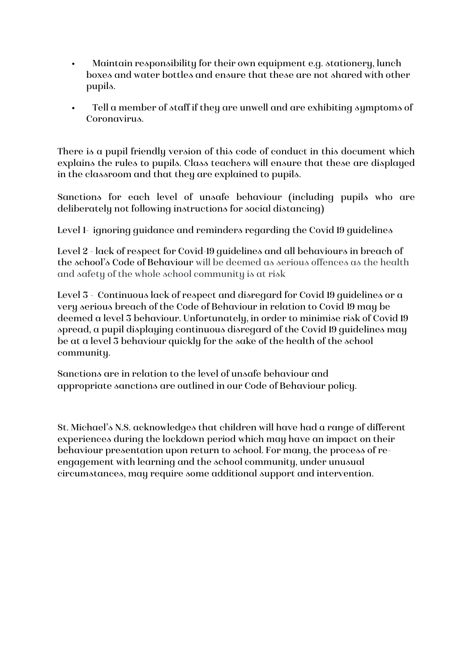- Maintain responsibility for their own equipment e.g. stationery, lunch boxes and water bottles and ensure that these are not shared with other pupils.
- Tell a member of staff if they are unwell and are exhibiting symptoms of Coronavirus.

There is a pupil friendly version of this code of conduct in this document which explains the rules to pupils. Class teachers will ensure that these are displayed in the classroom and that they are explained to pupils.

Sanctions for each level of unsafe behaviour (including pupils who are deliberately not following instructions for social distancing)

Level 1- ignoring guidance and reminders regarding the Covid 19 guidelines

Level 2 - lack of respect for Covid-19 guidelines and all behaviours in breach of the school's Code of Behaviour will be deemed as serious offences as the health and safety of the whole school community is at risk

Level 3 - Continuous lack of respect and disregard for Covid 19 guidelines or a very serious breach of the Code of Behaviour in relation to Covid 19 may be deemed a level 3 behaviour. Unfortunately, in order to minimise risk of Covid 19 spread, a pupil displaying continuous disregard of the Covid 19 guidelines may be at a level 3 behaviour quickly for the sake of the health of the school community.

Sanctions are in relation to the level of unsafe behaviour and appropriate sanctions are outlined in our Code of Behaviour policy.

St. Michael's N.S. acknowledges that children will have had a range of different experiences during the lockdown period which may have an impact on their behaviour presentation upon return to school. For many, the process of reengagement with learning and the school community, under unusual circumstances, may require some additional support and intervention.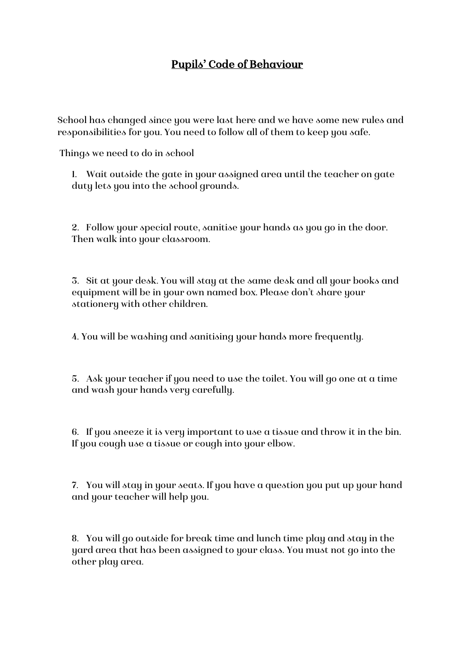## Pupils' Code of Behaviour

School has changed since you were last here and we have some new rules and responsibilities for you. You need to follow all of them to keep you safe.

Things we need to do in school

1. Wait outside the gate in your assigned area until the teacher on gate duty lets you into the school grounds.

2. Follow your special route, sanitise your hands as you go in the door. Then walk into your classroom.

3. Sit at your desk. You will stay at the same desk and all your books and equipment will be in your own named box. Please don't share your stationery with other children.

4. You will be washing and sanitising your hands more frequently.

5. Ask your teacher if you need to use the toilet. You will go one at a time and wash your hands very carefully.

6. If you sneeze it is very important to use a tissue and throw it in the bin. If you cough use a tissue or cough into your elbow.

7. You will stay in your seats. If you have a question you put up your hand and your teacher will help you.

8. You will go outside for break time and lunch time play and stay in the yard area that has been assigned to your class. You must not go into the other play area.